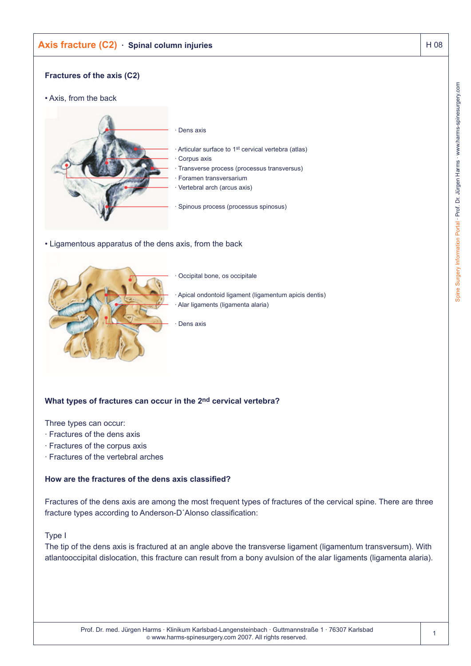# **Axis fracture (C2) · Spinal column injuries** Axis **H 08**

# **Fractures of the axis (C2)**

• Axis, from the back



• Ligamentous apparatus of the dens axis, from the back



Occipital bone, os occipitale

Apical ondontoid ligament (ligamentum apicis dentis) · Alar ligaments (ligamenta alaria)

Dens axis

# **What types of fractures can occur in the 2nd cervical vertebra?**

Three types can occur:

- · Fractures of the dens axis
- · Fractures of the corpus axis
- · Fractures of the vertebral arches

#### **How are the fractures of the dens axis classified?**

Fractures of the dens axis are among the most frequent types of fractures of the cervical spine. There are three fracture types according to Anderson-D´Alonso classification:

#### Type I

The tip of the dens axis is fractured at an angle above the transverse ligament (ligamentum transversum). With atlantooccipital dislocation, this fracture can result from a bony avulsion of the alar ligaments (ligamenta alaria).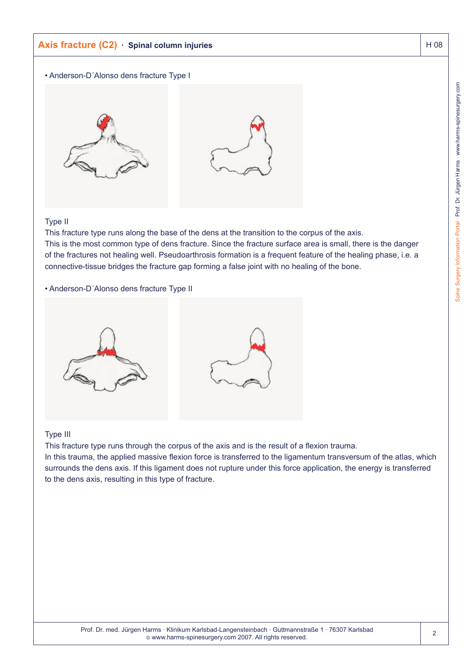# **Axis fracture (C2) · Spinal column injuries** Axis **H 08**

#### • Anderson-D´Alonso dens fracture Type I



### Type II

This fracture type runs along the base of the dens at the transition to the corpus of the axis. This is the most common type of dens fracture. Since the fracture surface area is small, there is the danger of the fractures not healing well. Pseudoarthrosis formation is a frequent feature of the healing phase, i.e. a connective-tissue bridges the fracture gap forming a false joint with no healing of the bone.

#### • Anderson-D´Alonso dens fracture Type II



#### Type III

This fracture type runs through the corpus of the axis and is the result of a flexion trauma.

In this trauma, the applied massive flexion force is transferred to the ligamentum transversum of the atlas, which surrounds the dens axis. If this ligament does not rupture under this force application, the energy is transferred to the dens axis, resulting in this type of fracture.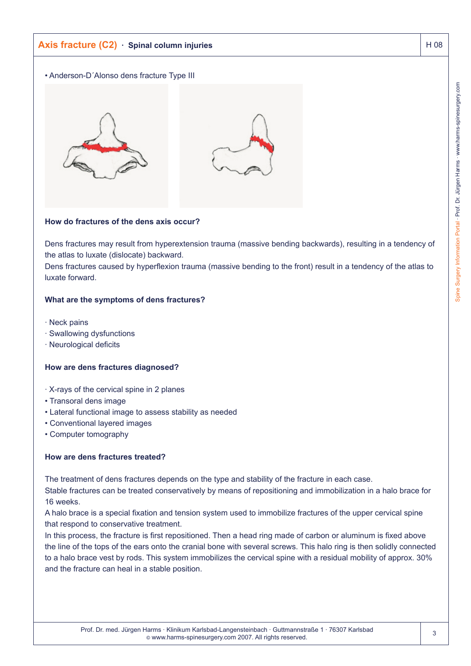# **Axis fracture (C2)** · Spinal column injuries Axis fracture (C2) · Spinal column injuries

### • Anderson-D´Alonso dens fracture Type III



## **How do fractures of the dens axis occur?**

Dens fractures may result from hyperextension trauma (massive bending backwards), resulting in a tendency of the atlas to luxate (dislocate) backward.

Dens fractures caused by hyperflexion trauma (massive bending to the front) result in a tendency of the atlas to luxate forward.

## **What are the symptoms of dens fractures?**

- · Neck pains
- · Swallowing dysfunctions
- · Neurological deficits

## **How are dens fractures diagnosed?**

- · X-rays of the cervical spine in 2 planes
- Transoral dens image
- Lateral functional image to assess stability as needed
- Conventional layered images
- Computer tomography

# **How are dens fractures treated?**

The treatment of dens fractures depends on the type and stability of the fracture in each case.

Stable fractures can be treated conservatively by means of repositioning and immobilization in a halo brace for 16 weeks.

A halo brace is a special fixation and tension system used to immobilize fractures of the upper cervical spine that respond to conservative treatment.

In this process, the fracture is first repositioned. Then a head ring made of carbon or aluminum is fixed above the line of the tops of the ears onto the cranial bone with several screws. This halo ring is then solidly connected to a halo brace vest by rods. This system immobilizes the cervical spine with a residual mobility of approx. 30% and the fracture can heal in a stable position.